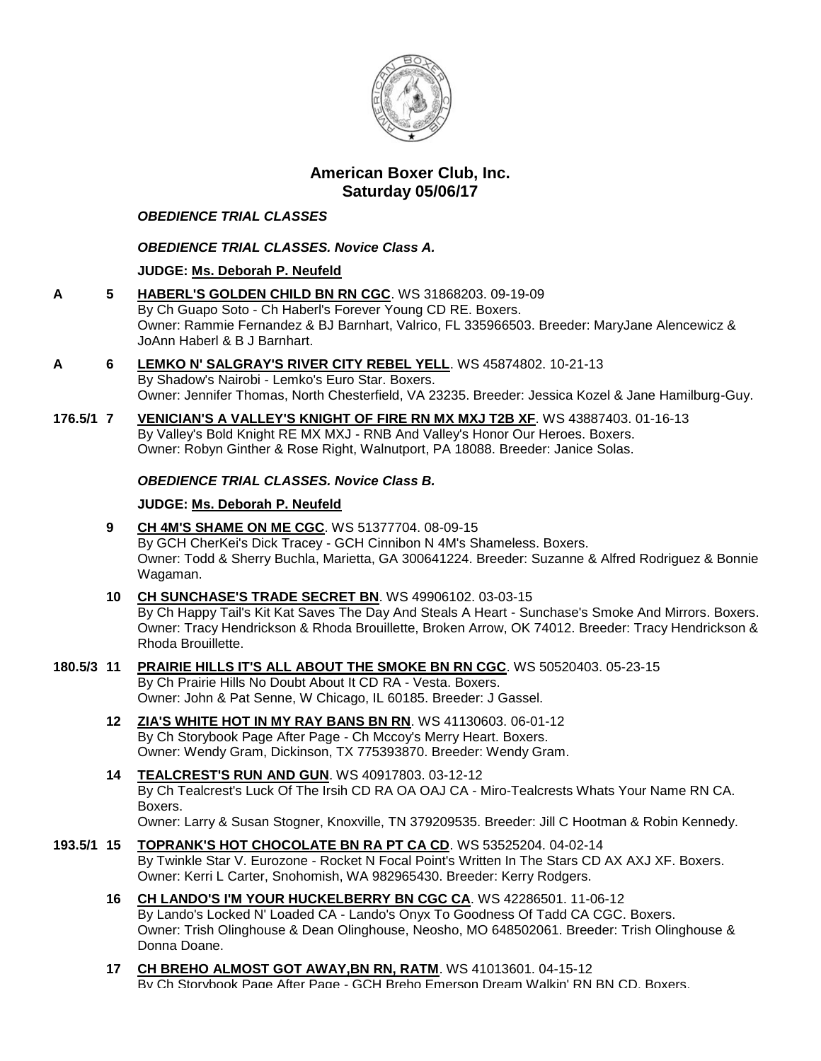

# **American Boxer Club, Inc. Saturday 05/06/17**

### *OBEDIENCE TRIAL CLASSES*

## *OBEDIENCE TRIAL CLASSES. Novice Class A.*

## **JUDGE: [Ms. Deborah P. Neufeld](http://infodog.com/show/judge/jdgprofile.htm?jn=19916)**

- **A 5 [HABERL'S GOLDEN CHILD BN RN CGC](http://infodog.com/my/drlookup2.htm?makc=WS%2031868203&mdog=Haberl%27s+Golden+Child+BN+RN+CGC&wins=all)**. WS 31868203. 09-19-09 By Ch Guapo Soto - Ch Haberl's Forever Young CD RE. Boxers. Owner: Rammie Fernandez & BJ Barnhart, Valrico, FL 335966503. Breeder: MaryJane Alencewicz & JoAnn Haberl & B J Barnhart.
- **A 6 [LEMKO N' SALGRAY'S RIVER CITY REBEL YELL](http://infodog.com/my/drlookup2.htm?makc=WS%2045874802&mdog=Lemko+N%27+Salgray%27s+River+City+Rebel+Yell&wins=all)**. WS 45874802. 10-21-13 By Shadow's Nairobi - Lemko's Euro Star. Boxers.
	- Owner: Jennifer Thomas, North Chesterfield, VA 23235. Breeder: Jessica Kozel & Jane Hamilburg-Guy.
- **176.5/1 7 [VENICIAN'S A VALLEY'S KNIGHT OF FIRE RN MX MXJ T2B XF](http://infodog.com/my/drlookup2.htm?makc=WS%2043887403&mdog=Venician%27s+A+Valley%27s+Knight+Of+Fire+RN+MX+MXJ+T2B+XF&wins=all)**. WS 43887403. 01-16-13 By Valley's Bold Knight RE MX MXJ - RNB And Valley's Honor Our Heroes. Boxers. Owner: Robyn Ginther & Rose Right, Walnutport, PA 18088. Breeder: Janice Solas.

### *OBEDIENCE TRIAL CLASSES. Novice Class B.*

## **JUDGE: [Ms. Deborah P. Neufeld](http://infodog.com/show/judge/jdgprofile.htm?jn=19916)**

- **9 [CH 4M'S SHAME ON ME CGC](http://infodog.com/my/drlookup2.htm?makc=WS%2051377704&mdog=Ch+4M%27s+Shame+On+Me+CGC&wins=all)**. WS 51377704. 08-09-15 By GCH CherKei's Dick Tracey - GCH Cinnibon N 4M's Shameless. Boxers. Owner: Todd & Sherry Buchla, Marietta, GA 300641224. Breeder: Suzanne & Alfred Rodriguez & Bonnie Wagaman.
- **10 [CH SUNCHASE'S TRADE SECRET BN](http://infodog.com/my/drlookup2.htm?makc=WS%2049906102&mdog=Ch+Sunchase%27s+Trade+Secret+BN&wins=all)**. WS 49906102. 03-03-15 By Ch Happy Tail's Kit Kat Saves The Day And Steals A Heart - Sunchase's Smoke And Mirrors. Boxers. Owner: Tracy Hendrickson & Rhoda Brouillette, Broken Arrow, OK 74012. Breeder: Tracy Hendrickson & Rhoda Brouillette.
- **180.5/3 11 [PRAIRIE HILLS IT'S ALL ABOUT THE SMOKE BN RN CGC](http://infodog.com/my/drlookup2.htm?makc=WS%2050520403&mdog=Prairie+Hills+It%27s+All+About+The+Smoke+BN+RN+CGC&wins=all)**. WS 50520403. 05-23-15 By Ch Prairie Hills No Doubt About It CD RA - Vesta. Boxers. Owner: John & Pat Senne, W Chicago, IL 60185. Breeder: J Gassel.
	- **12 [ZIA'S WHITE HOT IN MY RAY BANS BN RN](http://infodog.com/my/drlookup2.htm?makc=WS%2041130603&mdog=Zia%27s+White+Hot+In+My+Ray+Bans+BN+RN&wins=all)**. WS 41130603. 06-01-12 By Ch Storybook Page After Page - Ch Mccoy's Merry Heart. Boxers. Owner: Wendy Gram, Dickinson, TX 775393870. Breeder: Wendy Gram.
	- **14 [TEALCREST'S RUN AND GUN](http://infodog.com/my/drlookup2.htm?makc=WS%2040917803&mdog=Tealcrest%27s+Run+And+Gun&wins=all)**. WS 40917803. 03-12-12 By Ch Tealcrest's Luck Of The Irsih CD RA OA OAJ CA - Miro-Tealcrests Whats Your Name RN CA. Boxers. Owner: Larry & Susan Stogner, Knoxville, TN 379209535. Breeder: Jill C Hootman & Robin Kennedy.
- **193.5/1 15 [TOPRANK'S HOT CHOCOLATE BN RA PT CA CD](http://infodog.com/my/drlookup2.htm?makc=WS%2053525204&mdog=Toprank%27s+Hot+Chocolate+BN+RA+PT+CA+CD&wins=all)**. WS 53525204. 04-02-14 By Twinkle Star V. Eurozone - Rocket N Focal Point's Written In The Stars CD AX AXJ XF. Boxers. Owner: Kerri L Carter, Snohomish, WA 982965430. Breeder: Kerry Rodgers.
	- **16 [CH LANDO'S I'M YOUR HUCKELBERRY BN CGC CA](http://infodog.com/my/drlookup2.htm?makc=WS%2042286501&mdog=Ch+Lando%27s+I%27m+Your+Huckelberry+BN+CGC+CA&wins=all)**. WS 42286501. 11-06-12 By Lando's Locked N' Loaded CA - Lando's Onyx To Goodness Of Tadd CA CGC. Boxers. Owner: Trish Olinghouse & Dean Olinghouse, Neosho, MO 648502061. Breeder: Trish Olinghouse & Donna Doane.
	- **17 [CH BREHO ALMOST GOT AWAY,BN RN, RATM](http://infodog.com/my/drlookup2.htm?makc=WS%2041013601&mdog=Ch+Breho+Almost+Got+Away,BN+RN,+RatM&wins=all)**. WS 41013601. 04-15-12 By Ch Storybook Page After Page - GCH Breho Emerson Dream Walkin' RN BN CD. Boxers.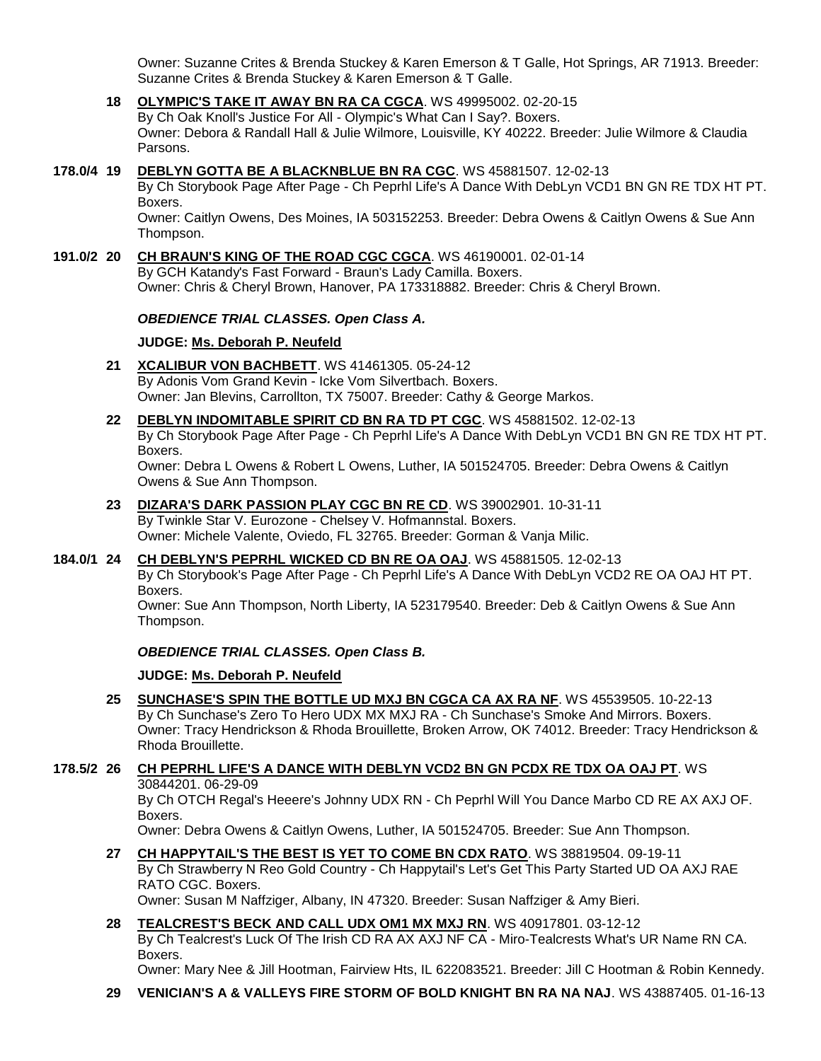Owner: Suzanne Crites & Brenda Stuckey & Karen Emerson & T Galle, Hot Springs, AR 71913. Breeder: Suzanne Crites & Brenda Stuckey & Karen Emerson & T Galle.

- **18 [OLYMPIC'S TAKE IT AWAY BN RA CA CGCA](http://infodog.com/my/drlookup2.htm?makc=WS%2049995002&mdog=Olympic%27s+Take+It+Away+BN+RA+CA+CGCA&wins=all)**. WS 49995002. 02-20-15 By Ch Oak Knoll's Justice For All - Olympic's What Can I Say?. Boxers. Owner: Debora & Randall Hall & Julie Wilmore, Louisville, KY 40222. Breeder: Julie Wilmore & Claudia Parsons.
- **178.0/4 19 [DEBLYN GOTTA BE A BLACKNBLUE BN RA CGC](http://infodog.com/my/drlookup2.htm?makc=WS%2045881507&mdog=DebLyn+Gotta+Be+A+BlackNBlue+BN+RA+CGC&wins=all)**. WS 45881507. 12-02-13 By Ch Storybook Page After Page - Ch Peprhl Life's A Dance With DebLyn VCD1 BN GN RE TDX HT PT. Boxers.

Owner: Caitlyn Owens, Des Moines, IA 503152253. Breeder: Debra Owens & Caitlyn Owens & Sue Ann Thompson.

**191.0/2 20 [CH BRAUN'S KING OF THE ROAD CGC CGCA](http://infodog.com/my/drlookup2.htm?makc=WS%2046190001&mdog=Ch+Braun%27s+King+Of+The+Road+CGC+CGCA&wins=all)**. WS 46190001. 02-01-14 By GCH Katandy's Fast Forward - Braun's Lady Camilla. Boxers. Owner: Chris & Cheryl Brown, Hanover, PA 173318882. Breeder: Chris & Cheryl Brown.

### *OBEDIENCE TRIAL CLASSES. Open Class A.*

### **JUDGE: [Ms. Deborah P. Neufeld](http://infodog.com/show/judge/jdgprofile.htm?jn=19916)**

- **21 [XCALIBUR VON BACHBETT](http://infodog.com/my/drlookup2.htm?makc=WS%2041461305&mdog=Xcalibur+Von+Bachbett&wins=all)**. WS 41461305. 05-24-12 By Adonis Vom Grand Kevin - Icke Vom Silvertbach. Boxers. Owner: Jan Blevins, Carrollton, TX 75007. Breeder: Cathy & George Markos.
- **22 [DEBLYN INDOMITABLE SPIRIT CD BN RA TD PT CGC](http://infodog.com/my/drlookup2.htm?makc=WS%2045881502&mdog=DebLyn+Indomitable+Spirit+CD+BN+RA+TD+PT+CGC&wins=all)**. WS 45881502. 12-02-13 By Ch Storybook Page After Page - Ch Peprhl Life's A Dance With DebLyn VCD1 BN GN RE TDX HT PT. Boxers. Owner: Debra L Owens & Robert L Owens, Luther, IA 501524705. Breeder: Debra Owens & Caitlyn Owens & Sue Ann Thompson.
- **23 [DIZARA'S DARK PASSION PLAY CGC BN RE CD](http://infodog.com/my/drlookup2.htm?makc=WS%2039002901&mdog=Dizara%27s+Dark+Passion+Play+CGC+BN+RE+CD&wins=all)**. WS 39002901. 10-31-11 By Twinkle Star V. Eurozone - Chelsey V. Hofmannstal. Boxers. Owner: Michele Valente, Oviedo, FL 32765. Breeder: Gorman & Vanja Milic.
- **184.0/1 24 [CH DEBLYN'S PEPRHL WICKED CD BN RE OA OAJ](http://infodog.com/my/drlookup2.htm?makc=WS%2045881505&mdog=Ch+DebLyn%27s+Peprhl+Wicked+CD+BN+RE+OA+OAJ&wins=all)**. WS 45881505. 12-02-13

By Ch Storybook's Page After Page - Ch Peprhl Life's A Dance With DebLyn VCD2 RE OA OAJ HT PT. Boxers.

Owner: Sue Ann Thompson, North Liberty, IA 523179540. Breeder: Deb & Caitlyn Owens & Sue Ann Thompson.

#### *OBEDIENCE TRIAL CLASSES. Open Class B.*

#### **JUDGE: [Ms. Deborah P. Neufeld](http://infodog.com/show/judge/jdgprofile.htm?jn=19916)**

**25 [SUNCHASE'S SPIN THE BOTTLE UD MXJ BN CGCA CA AX RA NF](http://infodog.com/my/drlookup2.htm?makc=WS%2045539505&mdog=Sunchase%27s+Spin+The+Bottle+UD+MXJ+BN+CGCA+CA+AX+RA+NF&wins=all)**. WS 45539505. 10-22-13 By Ch Sunchase's Zero To Hero UDX MX MXJ RA - Ch Sunchase's Smoke And Mirrors. Boxers. Owner: Tracy Hendrickson & Rhoda Brouillette, Broken Arrow, OK 74012. Breeder: Tracy Hendrickson & Rhoda Brouillette.

## **178.5/2 26 [CH PEPRHL LIFE'S A DANCE WITH DEBLYN VCD2 BN GN PCDX RE TDX OA OAJ PT](http://infodog.com/my/drlookup2.htm?makc=WS%2030844201&mdog=Ch+Peprhl+Life%27s+A+Dance+With+DebLyn+VCD2+BN+GN+PCDX+RE+TDX+OA+OAJ+PT&wins=all)**. WS 30844201. 06-29-09

By Ch OTCH Regal's Heeere's Johnny UDX RN - Ch Peprhl Will You Dance Marbo CD RE AX AXJ OF. Boxers.

Owner: Debra Owens & Caitlyn Owens, Luther, IA 501524705. Breeder: Sue Ann Thompson.

**27 [CH HAPPYTAIL'S THE BEST IS YET TO COME BN CDX RATO](http://infodog.com/my/drlookup2.htm?makc=WS%2038819504&mdog=Ch+Happytail%27s+The+Best+Is+Yet+To+Come+BN+CDX+RATO&wins=all)**. WS 38819504. 09-19-11 By Ch Strawberry N Reo Gold Country - Ch Happytail's Let's Get This Party Started UD OA AXJ RAE RATO CGC. Boxers.

Owner: Susan M Naffziger, Albany, IN 47320. Breeder: Susan Naffziger & Amy Bieri.

# **28 [TEALCREST'S BECK AND CALL UDX OM1 MX MXJ RN](http://infodog.com/my/drlookup2.htm?makc=WS%2040917801&mdog=Tealcrest%27s+Beck+And+Call+UDX+OM1+MX+MXJ+RN&wins=all)**. WS 40917801. 03-12-12

By Ch Tealcrest's Luck Of The Irish CD RA AX AXJ NF CA - Miro-Tealcrests What's UR Name RN CA. Boxers.

Owner: Mary Nee & Jill Hootman, Fairview Hts, IL 622083521. Breeder: Jill C Hootman & Robin Kennedy.

**29 [VENICIAN'S A & VALLEYS FIRE STORM OF BOLD KNIGHT BN RA NA NAJ](http://infodog.com/my/drlookup2.htm?makc=WS%2043887405&mdog=Venician%27s+A+&+Valleys+Fire+Storm+Of+Bold+Knight+BN+RA+NA+NAJ&wins=all)**. WS 43887405. 01-16-13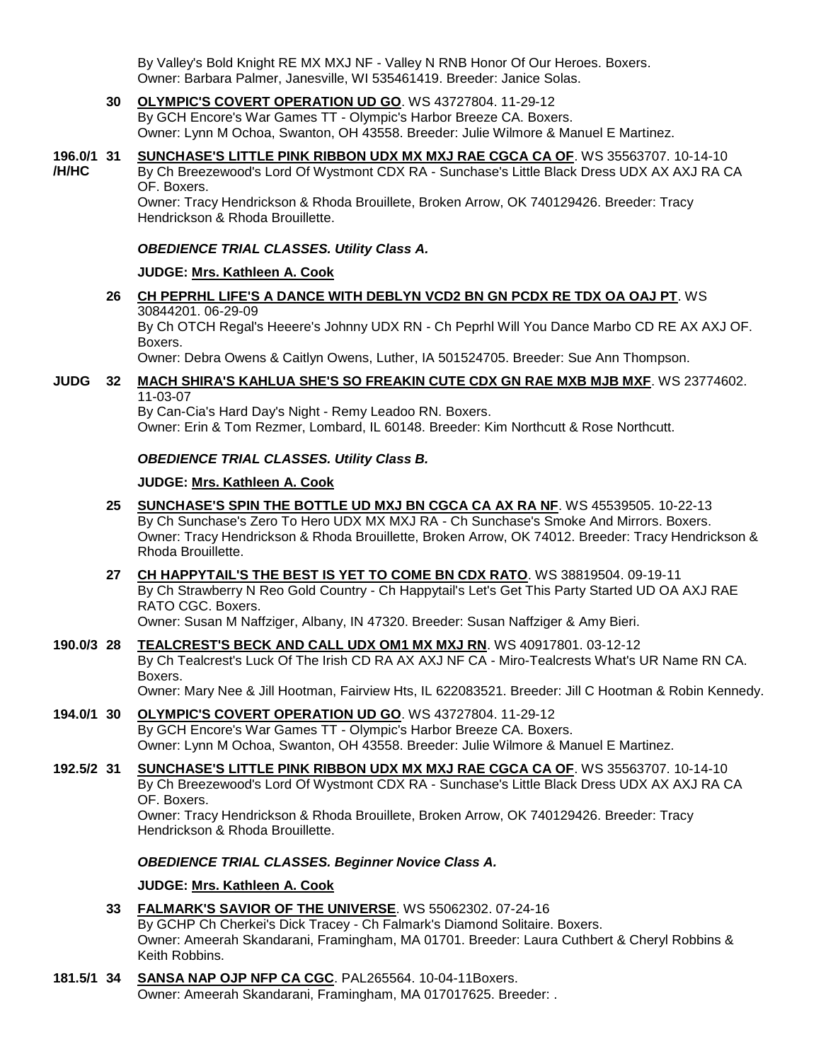By Valley's Bold Knight RE MX MXJ NF - Valley N RNB Honor Of Our Heroes. Boxers. Owner: Barbara Palmer, Janesville, WI 535461419. Breeder: Janice Solas.

- **30 [OLYMPIC'S COVERT OPERATION UD GO](http://infodog.com/my/drlookup2.htm?makc=WS%2043727804&mdog=Olympic%27s+Covert+Operation+UD+GO&wins=all)**. WS 43727804. 11-29-12 By GCH Encore's War Games TT - Olympic's Harbor Breeze CA. Boxers. Owner: Lynn M Ochoa, Swanton, OH 43558. Breeder: Julie Wilmore & Manuel E Martinez.
- **196.0/1 /H/HC 31 [SUNCHASE'S LITTLE PINK RIBBON UDX MX MXJ RAE CGCA CA OF](http://infodog.com/my/drlookup2.htm?makc=WS%2035563707&mdog=Sunchase%27s+Little+Pink+Ribbon+UDX+MX+MXJ+RAE+CGCA+CA+OF&wins=all)**. WS 35563707. 10-14-10 By Ch Breezewood's Lord Of Wystmont CDX RA - Sunchase's Little Black Dress UDX AX AXJ RA CA OF. Boxers. Owner: Tracy Hendrickson & Rhoda Brouillete, Broken Arrow, OK 740129426. Breeder: Tracy

Hendrickson & Rhoda Brouillette.

*OBEDIENCE TRIAL CLASSES. Utility Class A.*

### **JUDGE: [Mrs. Kathleen A. Cook](http://infodog.com/show/judge/jdgprofile.htm?jn=37193)**

**26 [CH PEPRHL LIFE'S A DANCE WITH DEBLYN VCD2 BN GN PCDX RE TDX OA OAJ PT](http://infodog.com/my/drlookup2.htm?makc=WS%2030844201&mdog=Ch+Peprhl+Life%27s+A+Dance+With+DebLyn+VCD2+BN+GN+PCDX+RE+TDX+OA+OAJ+PT&wins=all)**. WS 30844201. 06-29-09 By Ch OTCH Regal's Heeere's Johnny UDX RN - Ch Peprhl Will You Dance Marbo CD RE AX AXJ OF. Boxers.

Owner: Debra Owens & Caitlyn Owens, Luther, IA 501524705. Breeder: Sue Ann Thompson.

### **JUDG 32 [MACH SHIRA'S KAHLUA SHE'S SO FREAKIN CUTE CDX GN RAE MXB MJB MXF](http://infodog.com/my/drlookup2.htm?makc=WS%2023774602&mdog=MACH+Shira%27s+Kahlua+She%27s+So+Freakin+Cute+CDX+GN+RAE+MXB+MJB+MXF&wins=all)**. WS 23774602. 11-03-07

By Can-Cia's Hard Day's Night - Remy Leadoo RN. Boxers. Owner: Erin & Tom Rezmer, Lombard, IL 60148. Breeder: Kim Northcutt & Rose Northcutt.

### *OBEDIENCE TRIAL CLASSES. Utility Class B.*

### **JUDGE: [Mrs. Kathleen A. Cook](http://infodog.com/show/judge/jdgprofile.htm?jn=37193)**

- **25 [SUNCHASE'S SPIN THE BOTTLE UD MXJ BN CGCA CA AX RA NF](http://infodog.com/my/drlookup2.htm?makc=WS%2045539505&mdog=Sunchase%27s+Spin+The+Bottle+UD+MXJ+BN+CGCA+CA+AX+RA+NF&wins=all)**. WS 45539505. 10-22-13 By Ch Sunchase's Zero To Hero UDX MX MXJ RA - Ch Sunchase's Smoke And Mirrors. Boxers. Owner: Tracy Hendrickson & Rhoda Brouillette, Broken Arrow, OK 74012. Breeder: Tracy Hendrickson & Rhoda Brouillette.
- **27 [CH HAPPYTAIL'S THE BEST IS YET TO COME BN CDX RATO](http://infodog.com/my/drlookup2.htm?makc=WS%2038819504&mdog=Ch+Happytail%27s+The+Best+Is+Yet+To+Come+BN+CDX+RATO&wins=all)**. WS 38819504. 09-19-11 By Ch Strawberry N Reo Gold Country - Ch Happytail's Let's Get This Party Started UD OA AXJ RAE RATO CGC. Boxers.

Owner: Susan M Naffziger, Albany, IN 47320. Breeder: Susan Naffziger & Amy Bieri.

**190.0/3 28 [TEALCREST'S BECK AND CALL UDX OM1 MX MXJ RN](http://infodog.com/my/drlookup2.htm?makc=WS%2040917801&mdog=Tealcrest%27s+Beck+And+Call+UDX+OM1+MX+MXJ+RN&wins=all)**. WS 40917801. 03-12-12

By Ch Tealcrest's Luck Of The Irish CD RA AX AXJ NF CA - Miro-Tealcrests What's UR Name RN CA. Boxers.

Owner: Mary Nee & Jill Hootman, Fairview Hts, IL 622083521. Breeder: Jill C Hootman & Robin Kennedy.

- **194.0/1 30 [OLYMPIC'S COVERT OPERATION UD GO](http://infodog.com/my/drlookup2.htm?makc=WS%2043727804&mdog=Olympic%27s+Covert+Operation+UD+GO&wins=all)**. WS 43727804. 11-29-12 By GCH Encore's War Games TT - Olympic's Harbor Breeze CA. Boxers. Owner: Lynn M Ochoa, Swanton, OH 43558. Breeder: Julie Wilmore & Manuel E Martinez.
- **192.5/2 31 [SUNCHASE'S LITTLE PINK RIBBON UDX MX MXJ RAE CGCA CA OF](http://infodog.com/my/drlookup2.htm?makc=WS%2035563707&mdog=Sunchase%27s+Little+Pink+Ribbon+UDX+MX+MXJ+RAE+CGCA+CA+OF&wins=all)**. WS 35563707. 10-14-10 By Ch Breezewood's Lord Of Wystmont CDX RA - Sunchase's Little Black Dress UDX AX AXJ RA CA OF. Boxers.

Owner: Tracy Hendrickson & Rhoda Brouillete, Broken Arrow, OK 740129426. Breeder: Tracy Hendrickson & Rhoda Brouillette.

#### *OBEDIENCE TRIAL CLASSES. Beginner Novice Class A.*

### **JUDGE: [Mrs. Kathleen A. Cook](http://infodog.com/show/judge/jdgprofile.htm?jn=37193)**

- **33 [FALMARK'S SAVIOR OF THE UNIVERSE](http://infodog.com/my/drlookup2.htm?makc=WS%2055062302&mdog=Falmark%27s+Savior+Of+The+Universe&wins=all)**. WS 55062302. 07-24-16 By GCHP Ch Cherkei's Dick Tracey - Ch Falmark's Diamond Solitaire. Boxers. Owner: Ameerah Skandarani, Framingham, MA 01701. Breeder: Laura Cuthbert & Cheryl Robbins & Keith Robbins.
- **181.5/1 34 [SANSA NAP OJP NFP CA CGC](http://infodog.com/my/drlookup2.htm?makc=PAL265564&mdog=Sansa+NAP+OJP+NFP+CA+CGC&wins=all)**. PAL265564. 10-04-11Boxers. Owner: Ameerah Skandarani, Framingham, MA 017017625. Breeder: .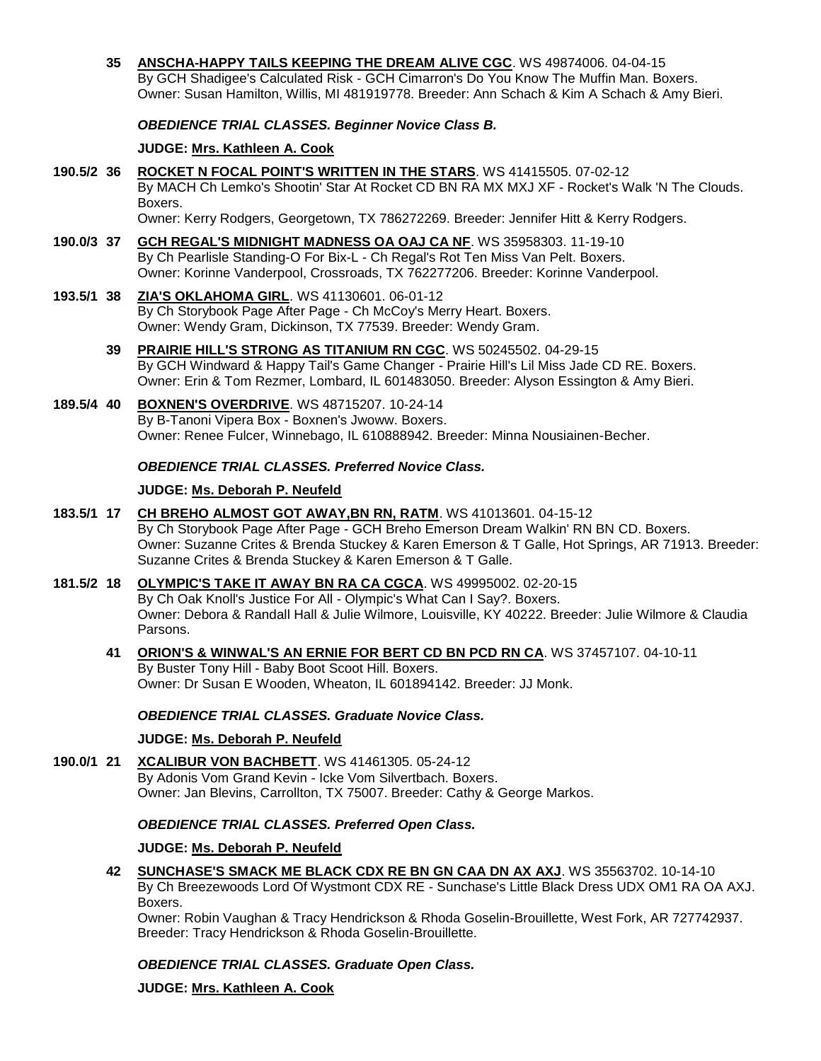**35 [ANSCHA-HAPPY TAILS KEEPING THE DREAM ALIVE CGC](http://infodog.com/my/drlookup2.htm?makc=WS%2049874006&mdog=Anscha-Happy+Tails+Keeping+The+Dream+Alive+CGC&wins=all)**. WS 49874006. 04-04-15 By GCH Shadigee's Calculated Risk - GCH Cimarron's Do You Know The Muffin Man. Boxers. Owner: Susan Hamilton, Willis, MI 481919778. Breeder: Ann Schach & Kim A Schach & Amy Bieri.

### *OBEDIENCE TRIAL CLASSES. Beginner Novice Class B.*

#### **JUDGE: [Mrs. Kathleen A. Cook](http://infodog.com/show/judge/jdgprofile.htm?jn=37193)**

- **190.5/2 36 [ROCKET N FOCAL POINT'S WRITTEN IN THE STARS](http://infodog.com/my/drlookup2.htm?makc=WS%2041415505&mdog=Rocket+N+Focal+Point%27s+Written+In+The+Stars&wins=all)**. WS 41415505. 07-02-12 By MACH Ch Lemko's Shootin' Star At Rocket CD BN RA MX MXJ XF - Rocket's Walk 'N The Clouds. Boxers.
	- Owner: Kerry Rodgers, Georgetown, TX 786272269. Breeder: Jennifer Hitt & Kerry Rodgers.
- **190.0/3 37 [GCH REGAL'S MIDNIGHT MADNESS OA OAJ CA NF](http://infodog.com/my/drlookup2.htm?makc=WS%2035958303&mdog=GCH+Regal%27s+Midnight+Madness+OA+OAJ+CA+NF&wins=all)**. WS 35958303. 11-19-10 By Ch Pearlisle Standing-O For Bix-L - Ch Regal's Rot Ten Miss Van Pelt. Boxers. Owner: Korinne Vanderpool, Crossroads, TX 762277206. Breeder: Korinne Vanderpool.

#### **193.5/1 38 [ZIA'S OKLAHOMA GIRL](http://infodog.com/my/drlookup2.htm?makc=WS%2041130601&mdog=Zia%27s+Oklahoma+Girl&wins=all)**. WS 41130601. 06-01-12 By Ch Storybook Page After Page - Ch McCoy's Merry Heart. Boxers. Owner: Wendy Gram, Dickinson, TX 77539. Breeder: Wendy Gram.

**39 [PRAIRIE HILL'S STRONG AS TITANIUM RN CGC](http://infodog.com/my/drlookup2.htm?makc=WS%2050245502&mdog=Prairie+Hill%27s+Strong+As+Titanium+RN+CGC&wins=all)**. WS 50245502. 04-29-15 By GCH Windward & Happy Tail's Game Changer - Prairie Hill's Lil Miss Jade CD RE. Boxers. Owner: Erin & Tom Rezmer, Lombard, IL 601483050. Breeder: Alyson Essington & Amy Bieri.

### **189.5/4 40 [BOXNEN'S OVERDRIVE](http://infodog.com/my/drlookup2.htm?makc=WS%2048715207&mdog=Boxnen%27s+Overdrive&wins=all)**. WS 48715207. 10-24-14 By B-Tanoni Vipera Box - Boxnen's Jwoww. Boxers. Owner: Renee Fulcer, Winnebago, IL 610888942. Breeder: Minna Nousiainen-Becher.

#### *OBEDIENCE TRIAL CLASSES. Preferred Novice Class.*

#### **JUDGE: [Ms. Deborah P. Neufeld](http://infodog.com/show/judge/jdgprofile.htm?jn=19916)**

- **183.5/1 17 [CH BREHO ALMOST GOT AWAY,BN RN, RATM](http://infodog.com/my/drlookup2.htm?makc=WS%2041013601&mdog=Ch+Breho+Almost+Got+Away,BN+RN,+RatM&wins=all)**. WS 41013601. 04-15-12 By Ch Storybook Page After Page - GCH Breho Emerson Dream Walkin' RN BN CD. Boxers. Owner: Suzanne Crites & Brenda Stuckey & Karen Emerson & T Galle, Hot Springs, AR 71913. Breeder: Suzanne Crites & Brenda Stuckey & Karen Emerson & T Galle.
- **181.5/2 18 [OLYMPIC'S TAKE IT AWAY BN RA CA CGCA](http://infodog.com/my/drlookup2.htm?makc=WS%2049995002&mdog=Olympic%27s+Take+It+Away+BN+RA+CA+CGCA&wins=all)**. WS 49995002. 02-20-15 By Ch Oak Knoll's Justice For All - Olympic's What Can I Say?. Boxers. Owner: Debora & Randall Hall & Julie Wilmore, Louisville, KY 40222. Breeder: Julie Wilmore & Claudia Parsons.
	- **41 [ORION'S & WINWAL'S AN ERNIE FOR BERT CD BN PCD RN CA](http://infodog.com/my/drlookup2.htm?makc=WS%2037457107&mdog=Orion%27s+&+Winwal%27s+An+Ernie+For+Bert+CD+BN+PCD+RN+CA&wins=all)**. WS 37457107. 04-10-11 By Buster Tony Hill - Baby Boot Scoot Hill. Boxers. Owner: Dr Susan E Wooden, Wheaton, IL 601894142. Breeder: JJ Monk.

### *OBEDIENCE TRIAL CLASSES. Graduate Novice Class.*

#### **JUDGE: [Ms. Deborah P. Neufeld](http://infodog.com/show/judge/jdgprofile.htm?jn=19916)**

**190.0/1 21 [XCALIBUR VON BACHBETT](http://infodog.com/my/drlookup2.htm?makc=WS%2041461305&mdog=Xcalibur+Von+Bachbett&wins=all)**. WS 41461305. 05-24-12 By Adonis Vom Grand Kevin - Icke Vom Silvertbach. Boxers. Owner: Jan Blevins, Carrollton, TX 75007. Breeder: Cathy & George Markos.

#### *OBEDIENCE TRIAL CLASSES. Preferred Open Class.*

#### **JUDGE: [Ms. Deborah P. Neufeld](http://infodog.com/show/judge/jdgprofile.htm?jn=19916)**

**42 [SUNCHASE'S SMACK ME BLACK CDX RE BN GN CAA DN AX AXJ](http://infodog.com/my/drlookup2.htm?makc=WS%2035563702&mdog=Sunchase%27s+Smack+Me+Black+CDX+RE+BN+GN+CAA+DN+AX+AXJ&wins=all)**. WS 35563702. 10-14-10 By Ch Breezewoods Lord Of Wystmont CDX RE - Sunchase's Little Black Dress UDX OM1 RA OA AXJ. Boxers.

Owner: Robin Vaughan & Tracy Hendrickson & Rhoda Goselin-Brouillette, West Fork, AR 727742937. Breeder: Tracy Hendrickson & Rhoda Goselin-Brouillette.

#### *OBEDIENCE TRIAL CLASSES. Graduate Open Class.*

**JUDGE: [Mrs. Kathleen A. Cook](http://infodog.com/show/judge/jdgprofile.htm?jn=37193)**